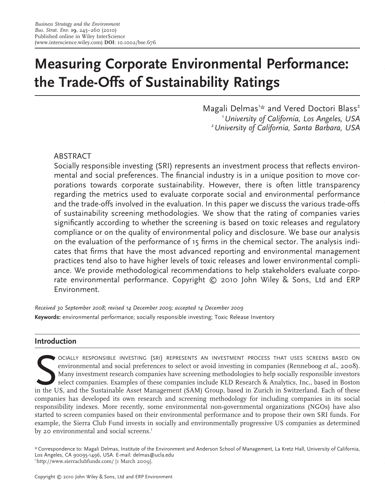# **Measuring Corporate Environmental Performance: the Trade-Offs of Sustainability Ratings**

Magali Delmas<sup>1\*</sup> and Vered Doctori Blass<sup>2</sup> *1 University of California, Los Angeles, USA <sup>2</sup> University of California, Santa Barbara, USA*

## ABSTRACT

Socially responsible investing (SRI) represents an investment process that reflects environmental and social preferences. The financial industry is in a unique position to move corporations towards corporate sustainability. However, there is often little transparency regarding the metrics used to evaluate corporate social and environmental performance and the trade-offs involved in the evaluation. In this paper we discuss the various trade-offs of sustainability screening methodologies. We show that the rating of companies varies significantly according to whether the screening is based on toxic releases and regulatory compliance or on the quality of environmental policy and disclosure. We base our analysis on the evaluation of the performance of 15 fi rms in the chemical sector. The analysis indicates that firms that have the most advanced reporting and environmental management practices tend also to have higher levels of toxic releases and lower environmental compliance. We provide methodological recommendations to help stakeholders evaluate corporate environmental performance. Copyright © 2010 John Wiley & Sons, Ltd and ERP Environment.

*Received 30 September 2008; revised 14 December 2009; accepted 14 December 2009* **Keywords:** environmental performance; socially responsible investing; Toxic Release Inventory

## **Introduction**

OCIALLY RESPONSIBLE INVESTING (SRI) REPRESENTS AN INVESTMENT PROCESS THAT USES SCREENS BASED ON environmental and social preferences to select or avoid investing in companies (Renneboog *et al.*, 2008). Many investment res OCIALLY RESPONSIBLE INVESTING (SRI) REPRESENTS AN INVESTMENT PROCESS THAT USES SCREENS BASED ON environmental and social preferences to select or avoid investing in companies (Renneboog *et al.*, 2008). Many investment research companies have screening methodologies to help socially responsible investors select companies. Examples of these companies include KLD Research & Analytics, Inc., based in Boston companies has developed its own research and screening methodology for including companies in its social responsibility indexes. More recently, some environmental non-governmental organizations (NGOs) have also started to screen companies based on their environmental performance and to propose their own SRI funds. For example, the Sierra Club Fund invests in socially and environmentally progressive US companies as determined by 20 environmental and social screens.<sup>1</sup>

\* Correspondence to: Magali Delmas, Institute of the Environment and Anderson School of Management, La Kretz Hall, University of California, Los Angeles, CA 90095-1496, USA. E-mail: delmas@ucla.edu 1 http://www.sierraclubfunds.com/ [1 March 2009].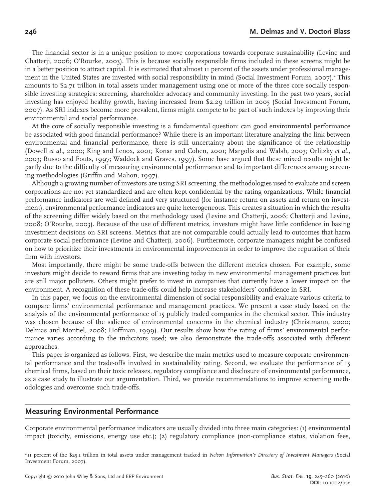The financial sector is in a unique position to move corporations towards corporate sustainability (Levine and Chatterji, 2006; O'Rourke, 2003). This is because socially responsible firms included in these screens might be in a better position to attract capital. It is estimated that almost 11 percent of the assets under professional management in the United States are invested with social responsibility in mind (Social Investment Forum, 2007).<sup>2</sup> This amounts to \$2.71 trillion in total assets under management using one or more of the three core socially responsible investing strategies: screening, shareholder advocacy and community investing. In the past two years, social investing has enjoyed healthy growth, having increased from \$2.29 trillion in 2005 (Social Investment Forum, 2007). As SRI indexes become more prevalent, firms might compete to be part of such indexes by improving their environmental and social performance.

At the core of socially responsible investing is a fundamental question: can good environmental performance be associated with good financial performance? While there is an important literature analyzing the link between environmental and financial performance, there is still uncertainty about the significance of the relationship (Dowell *et al.*, 2000; King and Lenox, 2001; Konar and Cohen, 2001; Margolis and Walsh, 2003; Orlitzky *et al.*, 2003; Russo and Fouts, 1997; Waddock and Graves, 1997). Some have argued that these mixed results might be partly due to the difficulty of measuring environmental performance and to important differences among screening methodologies (Griffin and Mahon, 1997).

Although a growing number of investors are using SRI screening, the methodologies used to evaluate and screen corporations are not yet standardized and are often kept confidential by the rating organizations. While financial performance indicators are well defined and very structured (for instance return on assets and return on investment), environmental performance indicators are quite heterogeneous. This creates a situation in which the results of the screening differ widely based on the methodology used (Levine and Chatterji, 2006; Chatterji and Levine, 2008; O'Rourke, 2003). Because of the use of different metrics, investors might have little confidence in basing investment decisions on SRI screens. Metrics that are not comparable could actually lead to outcomes that harm corporate social performance (Levine and Chatterji, 2006). Furthermore, corporate managers might be confused on how to prioritize their investments in environmental improvements in order to improve the reputation of their firm with investors.

Most importantly, there might be some trade-offs between the different metrics chosen. For example, some investors might decide to reward firms that are investing today in new environmental management practices but are still major polluters. Others might prefer to invest in companies that currently have a lower impact on the environment. A recognition of these trade-offs could help increase stakeholders' confidence in SRI.

In this paper, we focus on the environmental dimension of social responsibility and evaluate various criteria to compare firms' environmental performance and management practices. We present a case study based on the analysis of the environmental performance of 15 publicly traded companies in the chemical sector. This industry was chosen because of the salience of environmental concerns in the chemical industry (Christmann, 2000; Delmas and Montiel, 2008; Hoffman, 1999). Our results show how the rating of firms' environmental performance varies according to the indicators used; we also demonstrate the trade-offs associated with different approaches.

This paper is organized as follows. First, we describe the main metrics used to measure corporate environmental performance and the trade-offs involved in sustainability rating. Second, we evaluate the performance of 15 chemical firms, based on their toxic releases, regulatory compliance and disclosure of environmental performance, as a case study to illustrate our argumentation. Third, we provide recommendations to improve screening methodologies and overcome such trade-offs.

#### **Measuring Environmental Performance**

Corporate environmental performance indicators are usually divided into three main categories: (1) environmental impact (toxicity, emissions, energy use etc.); (2) regulatory compliance (non-compliance status, violation fees,

2 11 percent of the \$25.1 trillion in total assets under management tracked in *Nelson Information's Directory of Investment Managers* (Social Investment Forum, 2007).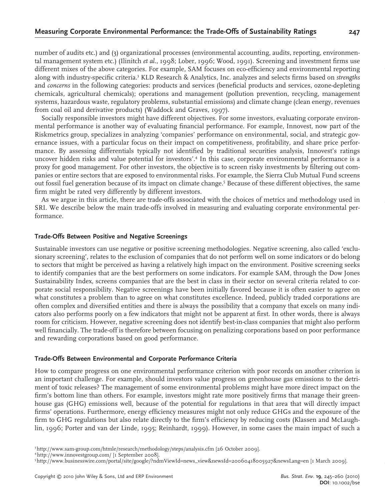number of audits etc.) and (3) organizational processes (environmental accounting, audits, reporting, environmental management system etc.) (Ilinitch et al., 1998; Lober, 1996; Wood, 1991). Screening and investment firms use different mixes of the above categories. For example, SAM focuses on eco-efficiency and environmental reporting along with industry-specific criteria.<sup>3</sup> KLD Research & Analytics, Inc. analyzes and selects firms based on *strengths* and *concerns* in the following categories: products and services (beneficial products and services, ozone-depleting chemicals, agricultural chemicals); operations and management (pollution prevention, recycling, management systems, hazardous waste, regulatory problems, substantial emissions) and climate change (clean energy, revenues from coal oil and derivative products) (Waddock and Graves, 1997).

Socially responsible investors might have different objectives. For some investors, evaluating corporate environmental performance is another way of evaluating financial performance. For example, Innovest, now part of the Riskmetrics group, specializes in analyzing 'companies' performance on environmental, social, and strategic governance issues, with a particular focus on their impact on competitiveness, profitability, and share price performance. By assessing differentials typically not identified by traditional securities analysis, Innovest's ratings uncover hidden risks and value potential for investors'.4 In this case, corporate environmental performance is a proxy for good management. For other investors, the objective is to screen risky investments by filtering out companies or entire sectors that are exposed to environmental risks. For example, the Sierra Club Mutual Fund screens out fossil fuel generation because of its impact on climate change.5 Because of these different objectives, the same firm might be rated very differently by different investors.

As we argue in this article, there are trade-offs associated with the choices of metrics and methodology used in SRI. We describe below the main trade-offs involved in measuring and evaluating corporate environmental performance.

### **Trade-Offs Between Positive and Negative Screenings**

Sustainable investors can use negative or positive screening methodologies. Negative screening, also called 'exclusionary screening', relates to the exclusion of companies that do not perform well on some indicators or do belong to sectors that might be perceived as having a relatively high impact on the environment. Positive screening seeks to identify companies that are the best performers on some indicators. For example SAM, through the Dow Jones Sustainability Index, screens companies that are the best in class in their sector on several criteria related to corporate social responsibility. Negative screenings have been initially favored because it is often easier to agree on what constitutes a problem than to agree on what constitutes excellence. Indeed, publicly traded corporations are often complex and diversified entities and there is always the possibility that a company that excels on many indicators also performs poorly on a few indicators that might not be apparent at first. In other words, there is always room for criticism. However, negative screening does not identify best-in-class companies that might also perform well financially. The trade-off is therefore between focusing on penalizing corporations based on poor performance and rewarding corporations based on good performance.

#### **Trade-Offs Between Environmental and Corporate Performance Criteria**

How to compare progress on one environmental performance criterion with poor records on another criterion is an important challenge. For example, should investors value progress on greenhouse gas emissions to the detriment of toxic releases? The management of some environmental problems might have more direct impact on the firm's bottom line than others. For example, investors might rate more positively firms that manage their greenhouse gas (GHG) emissions well, because of the potential for regulations in that area that will directly impact firms' operations. Furthermore, energy efficiency measures might not only reduce GHGs and the exposure of the firm to GHG regulations but also relate directly to the firm's efficiency by reducing costs (Klassen and McLaughlin, 1996; Porter and van der Linde, 1995; Reinhardt, 1999). However, in some cases the main impact of such a

<sup>3</sup> http://www.sam-group.com/htmle/research/methodology/steps/analysis.cfm [26 October 2009].

<sup>4</sup> http://www.innovestgroup.com/ [1 September 2008].

<sup>5</sup> http://www.businesswire.com/portal/site/google/?ndmViewId=news\_view&newsId=20060418005927&newsLang=en [1 March 2009].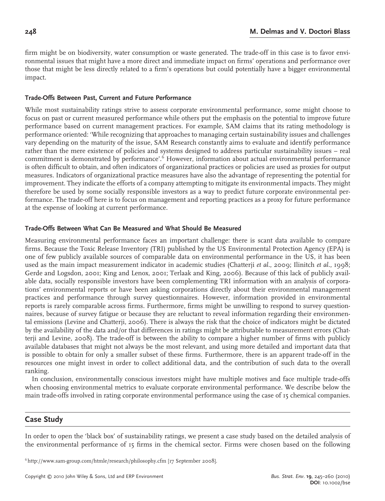firm might be on biodiversity, water consumption or waste generated. The trade-off in this case is to favor environmental issues that might have a more direct and immediate impact on firms' operations and performance over those that might be less directly related to a firm's operations but could potentially have a bigger environmental impact.

### **Trade-Offs Between Past, Current and Future Performance**

While most sustainability ratings strive to assess corporate environmental performance, some might choose to focus on past or current measured performance while others put the emphasis on the potential to improve future performance based on current management practices. For example, SAM claims that its rating methodology is performance oriented: 'While recognizing that approaches to managing certain sustainability issues and challenges vary depending on the maturity of the issue, SAM Research constantly aims to evaluate and identify performance rather than the mere existence of policies and systems designed to address particular sustainability issues – real commitment is demonstrated by performance'.6 However, information about actual environmental performance is often difficult to obtain, and often indicators of organizational practices or policies are used as proxies for output measures. Indicators of organizational practice measures have also the advantage of representing the potential for improvement. They indicate the efforts of a company attempting to mitigate its environmental impacts. They might therefore be used by some socially responsible investors as a way to predict future corporate environmental performance. The trade-off here is to focus on management and reporting practices as a proxy for future performance at the expense of looking at current performance.

#### **Trade-Offs Between What Can Be Measured and What Should Be Measured**

Measuring environmental performance faces an important challenge: there is scant data available to compare firms. Because the Toxic Release Inventory (TRI) published by the US Environmental Protection Agency (EPA) is one of few publicly available sources of comparable data on environmental performance in the US, it has been used as the main impact measurement indicator in academic studies (Chatterji *et al.*, 2009; Ilinitch *et al.*, 1998; Gerde and Logsdon, 2001; King and Lenox, 2001; Terlaak and King, 2006). Because of this lack of publicly available data, socially responsible investors have been complementing TRI information with an analysis of corporations' environmental reports or have been asking corporations directly about their environmental management practices and performance through survey questionnaires. However, information provided in environmental reports is rarely comparable across firms. Furthermore, firms might be unwilling to respond to survey questionnaires, because of survey fatigue or because they are reluctant to reveal information regarding their environmental emissions (Levine and Chatterji, 2006). There is always the risk that the choice of indicators might be dictated by the availability of the data and/or that differences in ratings might be attributable to measurement errors (Chatterji and Levine, 2008). The trade-off is between the ability to compare a higher number of firms with publicly available databases that might not always be the most relevant, and using more detailed and important data that is possible to obtain for only a smaller subset of these firms. Furthermore, there is an apparent trade-off in the resources one might invest in order to collect additional data, and the contribution of such data to the overall ranking.

In conclusion, environmentally conscious investors might have multiple motives and face multiple trade-offs when choosing environmental metrics to evaluate corporate environmental performance. We describe below the main trade-offs involved in rating corporate environmental performance using the case of 15 chemical companies.

### **Case Study**

In order to open the 'black box' of sustainability ratings, we present a case study based on the detailed analysis of the environmental performance of 15 firms in the chemical sector. Firms were chosen based on the following

6 http://www.sam-group.com/htmle/research/philosophy.cfm [17 September 2008].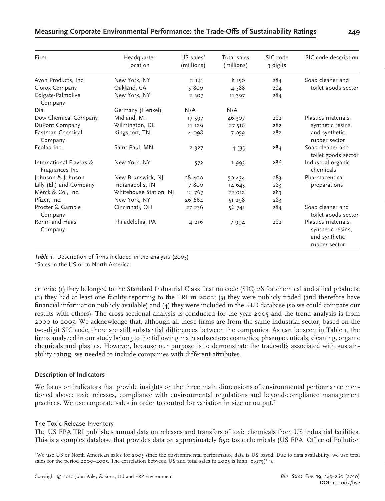| Measuring Corporate Environmental Performance: the Trade-Offs of Sustainability Ratings |  |  |  | 249 |
|-----------------------------------------------------------------------------------------|--|--|--|-----|
|-----------------------------------------------------------------------------------------|--|--|--|-----|

| Firm                                       | Headquarter<br>location | $US$ sales <sup>a</sup><br>(millions) | Total sales<br>(millions) | SIC code<br>3 digits | SIC code description                                                       |
|--------------------------------------------|-------------------------|---------------------------------------|---------------------------|----------------------|----------------------------------------------------------------------------|
| Avon Products, Inc.                        | New York, NY            | 2 141                                 | 8 150                     | 284                  | Soap cleaner and                                                           |
| Clorox Company                             | Oakland, CA             | 3800                                  | 4 3 8 8                   | 284                  | toilet goods sector                                                        |
| Colgate-Palmolive<br>Company               | New York, NY            | 2 507                                 | 11 3 9 7                  | 284                  |                                                                            |
| Dial                                       | Germany (Henkel)        | N/A                                   | N/A                       |                      |                                                                            |
| Dow Chemical Company                       | Midland, MI             | 17 597                                | 46 307                    | 282                  | Plastics materials,                                                        |
| DuPont Company                             | Wilmington, DE          | 11 129                                | 27 516                    | 282                  | synthetic resins,                                                          |
| Eastman Chemical<br>Company                | Kingsport, TN           | 4 098                                 | 7 0 5 9                   | 282                  | and synthetic<br>rubber sector                                             |
| Ecolab Inc.                                | Saint Paul, MN          | 2 3 2 7                               | 4 5 3 5                   | 284                  | Soap cleaner and<br>toilet goods sector                                    |
| International Flavors &<br>Fragrances Inc. | New York, NY            | 572                                   | 1993                      | 286                  | Industrial organic<br>chemicals                                            |
| Johnson & Johnson                          | New Brunswick, NJ       | 28 400                                | 50 434                    | 283                  | Pharmaceutical                                                             |
| Lilly (Eli) and Company                    | Indianapolis, IN        | 7800                                  | 14 645                    | 283                  | preparations                                                               |
| Merck & Co., Inc.                          | Whitehouse Station, NJ  | 12 767                                | 22 012                    | 283                  |                                                                            |
| Pfizer, Inc.                               | New York, NY            | 26 664                                | 51 298                    | 283                  |                                                                            |
| Procter & Gamble<br>Company                | Cincinnati, OH          | 27 236                                | 56 741                    | 284                  | Soap cleaner and<br>toilet goods sector                                    |
| Rohm and Haas<br>Company                   | Philadelphia, PA        | 4 2 1 6                               | 7994                      | 282                  | Plastics materials,<br>synthetic resins,<br>and synthetic<br>rubber sector |

**Table 1.** Description of firms included in the analysis (2005)

a Sales in the US or in North America.

criteria: (1) they belonged to the Standard Industrial Classification code (SIC)  $28$  for chemical and allied products; (2) they had at least one facility reporting to the TRI in 2002; (3) they were publicly traded (and therefore have financial information publicly available) and  $(4)$  they were included in the KLD database (so we could compare our results with others). The cross-sectional analysis is conducted for the year 2005 and the trend analysis is from 2000 to 2005. We acknowledge that, although all these firms are from the same industrial sector, based on the two-digit SIC code, there are still substantial differences between the companies. As can be seen in Table 1, the firms analyzed in our study belong to the following main subsectors: cosmetics, pharmaceuticals, cleaning, organic chemicals and plastics. However, because our purpose is to demonstrate the trade-offs associated with sustainability rating, we needed to include companies with different attributes.

### **Description of Indicators**

We focus on indicators that provide insights on the three main dimensions of environmental performance mentioned above: toxic releases, compliance with environmental regulations and beyond-compliance management practices. We use corporate sales in order to control for variation in size or output.7

### The Toxic Release Inventory

The US EPA TRI publishes annual data on releases and transfers of toxic chemicals from US industrial facilities. This is a complex database that provides data on approximately 650 toxic chemicals (US EPA, Office of Pollution

7 We use US or North American sales for 2005 since the environmental performance data is US based. Due to data availability, we use total sales for the period 2000–2005. The correlation between US and total sales in 2005 is high: 0.975(\*\*).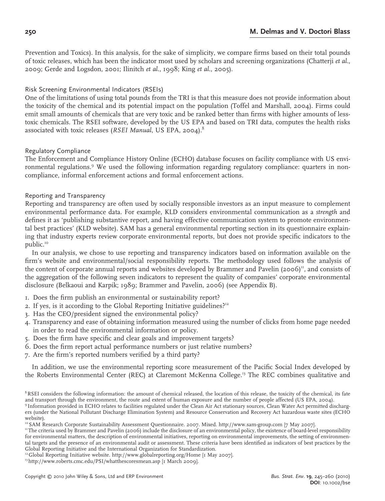Prevention and Toxics). In this analysis, for the sake of simplicity, we compare firms based on their total pounds of toxic releases, which has been the indicator most used by scholars and screening organizations (Chatterji *et al.*, 2009; Gerde and Logsdon, 2001; Ilinitch *et al.*, 1998; King *et al.*, 2005).

## Risk Screening Environmental Indicators (RSEIs)

One of the limitations of using total pounds from the TRI is that this measure does not provide information about the toxicity of the chemical and its potential impact on the population (Toffel and Marshall, 2004). Firms could emit small amounts of chemicals that are very toxic and be ranked better than firms with higher amounts of lesstoxic chemicals. The RSEI software, developed by the US EPA and based on TRI data, computes the health risks associated with toxic releases (*RSEI Manual*, US EPA, 2004).8

## Regulatory Compliance

The Enforcement and Compliance History Online (ECHO) database focuses on facility compliance with US environmental regulations.9 We used the following information regarding regulatory compliance: quarters in noncompliance, informal enforcement actions and formal enforcement actions.

## Reporting and Transparency

Reporting and transparency are often used by socially responsible investors as an input measure to complement environmental performance data. For example, KLD considers environmental communication as a *strength* and defines it as 'publishing substantive report, and having effective communication system to promote environmental best practices' (KLD website). SAM has a general environmental reporting section in its questionnaire explaining that industry experts review corporate environmental reports, but does not provide specific indicators to the public.<sup>10</sup>

In our analysis, we chose to use reporting and transparency indicators based on information available on the firm's website and environmental/social responsibility reports. The methodology used follows the analysis of the content of corporate annual reports and websites developed by Brammer and Pavelin (2006)<sup>11</sup>, and consists of the aggregation of the following seven indicators to represent the quality of companies' corporate environmental disclosure (Belkaoui and Karpik; 1989; Brammer and Pavelin, 2006) (see Appendix B).

- 1. Does the firm publish an environmental or sustainability report?
- 2. If yes, is it according to the Global Reporting Initiative guidelines?<sup>12</sup>
- 3. Has the CEO/president signed the environmental policy?
- 4. Transparency and ease of obtaining information measured using the number of clicks from home page needed in order to read the environmental information or policy.
- 5. Does the firm have specific and clear goals and improvement targets?
- 6. Does the firm report actual performance numbers or just relative numbers?
- 7. Are the firm's reported numbers verified by a third party?

In addition, we use the environmental reporting score measurement of the Pacific Social Index developed by the Roberts Environmental Center (REC) at Claremont McKenna College.13 The REC combines qualitative and

<sup>&</sup>lt;sup>8</sup> RSEI considers the following information: the amount of chemical released, the location of this release, the toxicity of the chemical, its fate and transport through the environment, the route and extent of human exposure and the number of people affected (US EPA, 2004).

<sup>&</sup>lt;sup>9</sup> Information provided in ECHO relates to facilities regulated under the Clean Air Act stationary sources, Clean Water Act permitted dischargers (under the National Pollutant Discharge Elimination System) and Resource Conservation and Recovery Act hazardous waste sites (ECHO website).

<sup>10</sup> SAM Research Corporate Sustainability Assessment Questionnaire. 2007. Mixed. http://www.sam-group.com [7 May 2007].

<sup>11</sup> The criteria used by Brammer and Pavelin (2006) include the disclosure of an environmental policy, the existence of board-level responsibility for environmental matters, the description of environmental initiatives, reporting on environmental improvements, the setting of environmental targets and the presence of an environmental audit or assessment. These criteria have been identified as indicators of best practices by the Global Reporting Initiative and the International Organization for Standardization.

<sup>&</sup>lt;sup>12</sup> Global Reporting Initiative website. http://www.globalreporting.org/Home [1 May 2007].

<sup>&</sup>lt;sup>13</sup> http://www.roberts.cmc.edu/PSI/whatthescoresmean.asp [1 March 2009].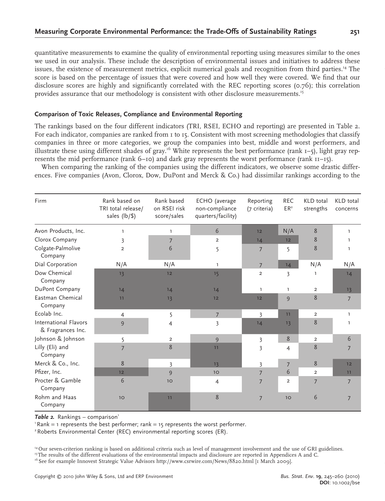quantitative measurements to examine the quality of environmental reporting using measures similar to the ones we used in our analysis. These include the description of environmental issues and initiatives to address these issues, the existence of measurement metrics, explicit numerical goals and recognition from third parties.14 The score is based on the percentage of issues that were covered and how well they were covered. We find that our disclosure scores are highly and significantly correlated with the REC reporting scores ( $\circ$ .76); this correlation provides assurance that our methodology is consistent with other disclosure measurements.<sup>15</sup>

#### **Comparison of Toxic Releases, Compliance and Environmental Reporting**

The rankings based on the four different indicators (TRI, RSEI, ECHO and reporting) are presented in Table 2. For each indicator, companies are ranked from  $I$  to 15. Consistent with most screening methodologies that classify companies in three or more categories, we group the companies into best, middle and worst performers, and illustrate these using different shades of gray.<sup>16</sup> White represents the best performance (rank  $I-5$ ), light gray represents the mid performance (rank  $6-10$ ) and dark gray represents the worst performance (rank  $11-15$ ).

When comparing the ranking of the companies using the different indicators, we observe some drastic differences. Five companies (Avon, Clorox, Dow, DuPont and Merck & Co.) had dissimilar rankings according to the

| Firm                                       | Rank based on<br>TRI total release/<br>sales (lb/\$) | Rank based<br>on RSEI risk<br>score/sales | ECHO (average<br>non-compliance<br>quarters/facility) | Reporting<br>(7 criteria) | <b>REC</b><br>ER <sup>2</sup> | KLD total<br>strengths | KLD total<br>concerns |
|--------------------------------------------|------------------------------------------------------|-------------------------------------------|-------------------------------------------------------|---------------------------|-------------------------------|------------------------|-----------------------|
| Avon Products, Inc.                        | ı                                                    | ı.                                        | 6                                                     | 12                        | N/A                           | 8                      | ı.                    |
| Clorox Company                             | 3                                                    | $\overline{7}$                            | $\overline{2}$                                        | 14                        | 12                            | 8                      |                       |
| Colgate-Palmolive<br>Company               | $\overline{2}$                                       | 6                                         | 5                                                     | $\overline{7}$            | 5                             | 8                      |                       |
| Dial Corporation                           | N/A                                                  | N/A                                       | $\mathbf{1}$                                          | $\overline{7}$            | 14                            | N/A                    | N/A                   |
| Dow Chemical<br>Company                    | 13                                                   | 12                                        | 15                                                    | $\overline{2}$            | 3                             | ı                      | 14                    |
| DuPont Company                             | 14                                                   | 14                                        | 14                                                    | $\mathbf{1}$              | I.                            | $\overline{2}$         | 13                    |
| Eastman Chemical<br>Company                | 11                                                   | 13                                        | 12                                                    | 12                        | 9                             | 8                      | 7                     |
| Ecolab Inc.                                | 4                                                    | 5                                         | $\overline{7}$                                        | $\overline{3}$            | 11                            | $\overline{2}$         | $\mathbf{I}$          |
| International Flavors<br>& Fragrances Inc. | 9                                                    | 4                                         | 3                                                     | 14                        | 13                            | 8                      | ı                     |
| Johnson & Johnson                          | 5                                                    | $\overline{2}$                            | 9                                                     | 3                         | 8                             | $\overline{2}$         | 6                     |
| Lilly (Eli) and<br>Company                 | 7                                                    | 8                                         | 11                                                    | 3                         | 4                             | 8                      | 7                     |
| Merck & Co., Inc.                          | 8                                                    | 3                                         | 13                                                    | 3                         | $\overline{7}$                | 8                      | 12                    |
| Pfizer, Inc.                               | 12                                                   | 9                                         | 10                                                    | 7                         | 6                             | $\overline{2}$         | 11                    |
| Procter & Gamble<br>Company                | 6                                                    | 10                                        | 4                                                     | $\overline{7}$            | $\overline{2}$                | $\overline{7}$         | $\overline{7}$        |
| Rohm and Haas<br>Company                   | 10                                                   | 11                                        | 8                                                     | $\overline{7}$            | 10                            | 6                      | 7                     |

Table 2. Rankings - comparison<sup>1</sup>

 $R$ ank = 1 represents the best performer; rank = 15 represents the worst performer.

<sup>2</sup> Roberts Environmental Center (REC) environmental reporting scores (ER).

<sup>14</sup>Our seven-criterion ranking is based on additional criteria such as level of management involvement and the use of GRI guidelines.

<sup>15</sup>The results of the different evaluations of the environmental impacts and disclosure are reported in Appendices A and C.

<sup>16</sup> See for example Innovest Strategic Value Advisors http://www.csrwire.com/News/8820.html [1 March 2009].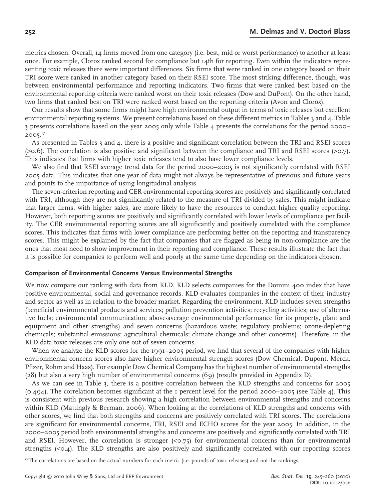metrics chosen. Overall, 14 firms moved from one category (i.e. best, mid or worst performance) to another at least once. For example, Clorox ranked second for compliance but 14th for reporting. Even within the indicators representing toxic releases there were important differences. Six firms that were ranked in one category based on their TRI score were ranked in another category based on their RSEI score. The most striking difference, though, was between environmental performance and reporting indicators. Two firms that were ranked best based on the environmental reporting criteria were ranked worst on their toxic releases (Dow and DuPont). On the other hand, two firms that ranked best on TRI were ranked worst based on the reporting criteria (Avon and Clorox).

Our results show that some firms might have high environmental output in terms of toxic releases but excellent environmental reporting systems. We present correlations based on these different metrics in Tables 3 and 4. Table 3 presents correlations based on the year 2005 only while Table 4 presents the correlations for the period 2000– 2005.17

As presented in Tables  $3$  and  $4$ , there is a positive and significant correlation between the TRI and RSEI scores  $(0.6)$ . The correlation is also positive and significant between the compliance and TRI and RSEI scores  $(0.7)$ . This indicates that firms with higher toxic releases tend to also have lower compliance levels.

We also find that RSEI average trend data for the period 2000–2005 is not significantly correlated with RSEI 2005 data. This indicates that one year of data might not always be representative of previous and future years and points to the importance of using longitudinal analysis.

The seven-criterion reporting and CER environmental reporting scores are positively and significantly correlated with TRI, although they are not significantly related to the measure of TRI divided by sales. This might indicate that larger firms, with higher sales, are more likely to have the resources to conduct higher quality reporting. However, both reporting scores are positively and significantly correlated with lower levels of compliance per facility. The CER environmental reporting scores are all significantly and positively correlated with the compliance scores. This indicates that firms with lower compliance are performing better on the reporting and transparency scores. This might be explained by the fact that companies that are flagged as being in non-compliance are the ones that most need to show improvement in their reporting and compliance. These results illustrate the fact that it is possible for companies to perform well and poorly at the same time depending on the indicators chosen.

#### **Comparison of Environmental Concerns Versus Environmental Strengths**

We now compare our ranking with data from KLD. KLD selects companies for the Domini 400 index that have positive environmental, social and governance records. KLD evaluates companies in the context of their industry and sector as well as in relation to the broader market. Regarding the environment, KLD includes seven strengths (beneficial environmental products and services; pollution prevention activities; recycling activities; use of alternative fuels; environmental communication; above-average environmental performance for its property, plant and equipment and other strengths) and seven concerns (hazardous waste; regulatory problems; ozone-depleting chemicals; substantial emissions; agricultural chemicals; climate change and other concerns). Therefore, in the KLD data toxic releases are only one out of seven concerns.

When we analyze the KLD scores for the 1991–2005 period, we find that several of the companies with higher environmental concern scores also have higher environmental strength scores (Dow Chemical, Dupont, Merck, Pfizer, Rohm and Haas). For example Dow Chemical Company has the highest number of environmental strengths (28) but also a very high number of environmental concerns (69) (results provided in Appendix D).

As we can see in Table 3, there is a positive correlation between the KLD strengths and concerns for 2005 (0.494). The correlation becomes significant at the 1 percent level for the period 2000–2005 (see Table 4). This is consistent with previous research showing a high correlation between environmental strengths and concerns within KLD (Mattingly & Berman, 2006). When looking at the correlations of KLD strengths and concerns with other scores, we find that both strengths and concerns are positively correlated with TRI scores. The correlations are significant for environmental concerns, TRI, RSEI and ECHO scores for the year 2005. In addition, in the 2000–2005 period both environmental strengths and concerns are positively and significantly correlated with TRI and RSEI. However, the correlation is stronger  $( $0.75$ ) for environmental concerns than for environmental$ strengths  $( $\infty$ , 4)$ . The KLD strengths are also positively and significantly correlated with our reporting scores

<sup>17</sup>The correlations are based on the actual numbers for each metric (i.e. pounds of toxic releases) and not the rankings.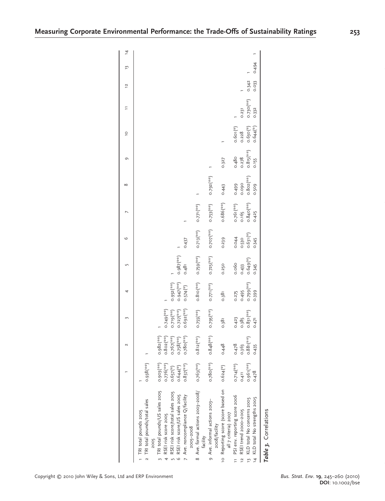|                                                            |                          |                                                |                              |                          |                           | G                      |                 | ∞            | G               | $\overline{0}$         | Ξ              | $\overline{a}$ | $\frac{1}{2}$ | $\overline{4}$ |
|------------------------------------------------------------|--------------------------|------------------------------------------------|------------------------------|--------------------------|---------------------------|------------------------|-----------------|--------------|-----------------|------------------------|----------------|----------------|---------------|----------------|
| 2 TRI total pounds/total sales<br>1 TRI total pounds 2005  | $0.938$ $(**)$           |                                                |                              |                          |                           |                        |                 |              |                 |                        |                |                |               |                |
| 3 TRI total pounds/US sales 2005<br>2005                   | 0.903 (***)              | $0.982$ (**)                                   |                              |                          |                           |                        |                 |              |                 |                        |                |                |               |                |
| 4 RSEI risk score 2005                                     | 0.776(**)                | $0.802$ (**)                                   | $0.749$ <sup>(**</sup> )     |                          |                           |                        |                 |              |                 |                        |                |                |               |                |
| RSEI risk score/total sales 2005                           | $0.657$ <sup>(*)</sup> ) | $0.767^{***}_{***}$<br>0.758(**)<br>0.780(***) | 0.719 (**)                   | $0.952$ (**)             |                           |                        |                 |              |                 |                        |                |                |               |                |
| 6 RSEI risk score/US sales 2005                            | $0.644$ <sup>(*)</sup>   |                                                |                              | D.947(**)                | $0.987$ (**)              |                        |                 |              |                 |                        |                |                |               |                |
| 7 Ave. noncompliance Q/facility<br>2005-2008               | $0.837$ <sup>(**</sup> ) |                                                | $0.727$ (**)<br>$0.692$ (**) | $0.574$ <sup>(*)</sup> ) | 0.481                     | 0.437                  |                 |              |                 |                        |                |                |               |                |
| 8 Ave. formal actions 2003-2008/<br>facility               | $0.763$ <sup>(**</sup> ) | $0.812^{(\frac{4}{3}+\frac{1}{3})}$            | $0.755$ $(**$ )              | $0.810(**)$              | $0.759$ <sup>(***</sup> ) | $0.713^{(**)}$         | $0.771(^{***})$ |              |                 |                        |                |                |               |                |
| 9 Ave. informal actions 2003-<br>2008/facility             | $0.780$ $(**)$           | $0.848(^{**}$                                  | $0.795(^{**}$                | $0.771$ $(**$ )          | $0.725(^{*}x)$            | 0.707(**)              | $0.753$ $(**')$ | $0.792$ (**) |                 |                        |                |                |               |                |
| 10 Reporting score (score based on<br>all 7 criteria) 2007 | $0.624$ <sup>(*)</sup>   | 0.448                                          | 0.381                        | 0.381                    | 0.250                     | 0.239                  | $0.686$ (**)    | 0.443        | 0.327           |                        |                |                |               |                |
| 11 PSI env. reporting score 2006                           | $0.714(**)$              | 64478                                          | 0.423                        | 0.275                    | 0.060                     | 0.044                  | $0.761$ $(*$ *) | 0.499        | 0.480           | $0.601({*})$           |                |                |               |                |
| RSEI trend 2000-2005<br>$\frac{2}{3}$                      | 0.411                    | $0.363$<br>$0.881$ (**)                        | 0.385                        | 0.495                    | 0.433                     |                        | 0.165           | 0.090        | 0.278           | 0.228                  | 0.231          |                |               |                |
| 13 KLD total No concerns 2005                              | $0.961$ (**)             |                                                | $0.831$ (**)                 | 0.799 (**)               | $0.649$ <sup>(*)</sup>    | $0.530$<br>$0.631$ (*) | $0.840(**)$     | $0.802$ (**) | $0.815(^{***})$ | $0.630$ <sup>(*)</sup> | $0.730^{(**})$ | 0.342          |               |                |
| 14 KLD total No strengths 2005                             | 0.478                    | 0.435                                          | 0.471                        | 0.399                    | 0.345                     | 0.345                  | 0.425           | 0.509        | 0.155           | $0.644$ <sup>(*)</sup> | 0.332          | 0.033          | 0.494         |                |
| Table 3. Correlations                                      |                          |                                                |                              |                          |                           |                        |                 |              |                 |                        |                |                |               |                |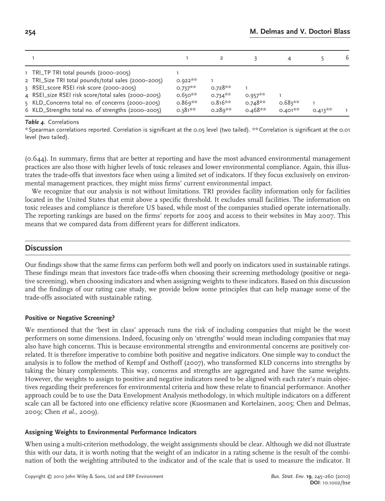|                                                                                                        |                          |                          |                        |                        |           | 6 |
|--------------------------------------------------------------------------------------------------------|--------------------------|--------------------------|------------------------|------------------------|-----------|---|
| 1 TRI_TP TRI total pounds (2000–2005)                                                                  |                          |                          |                        |                        |           |   |
| 2 TRI_Size TRI total pounds/total sales (2000-2005)                                                    | $0.922**$                |                          |                        |                        |           |   |
| 3 RSEI_score RSEI risk score (2000-2005)                                                               | $0.737**$                | $0.728**$                |                        |                        |           |   |
| 4 RSEI_size RSEI risk score/total sales (2000-2005)                                                    | $0.650**$                | $0.734***$               | $0.957**$              |                        |           |   |
| 5 KLD_Concerns total no. of concerns (2000-2005)<br>6 KLD_Strengths total no. of strengths (2000–2005) | $0.869***$<br>$0.381***$ | $0.816***$<br>$0.289***$ | $0.748**$<br>$0.468**$ | $0.683**$<br>$0.401**$ | $0.413**$ |   |

*Table 4.* Correlations

\* Spearman correlations reported. Correlation is significant at the 0.05 level (two tailed). \*\* Correlation is significant at the 0.01 level (two tailed).

 $(0.644)$ . In summary, firms that are better at reporting and have the most advanced environmental management practices are also those with higher levels of toxic releases and lower environmental compliance. Again, this illustrates the trade-offs that investors face when using a limited set of indicators. If they focus exclusively on environmental management practices, they might miss firms' current environmental impact.

We recognize that our analysis is not without limitations. TRI provides facility information only for facilities located in the United States that emit above a specific threshold. It excludes small facilities. The information on toxic releases and compliance is therefore US based, while most of the companies studied operate internationally. The reporting rankings are based on the firms' reports for 2005 and access to their websites in May 2007. This means that we compared data from different years for different indicators.

## **Discussion**

Our findings show that the same firms can perform both well and poorly on indicators used in sustainable ratings. These findings mean that investors face trade-offs when choosing their screening methodology (positive or negative screening), when choosing indicators and when assigning weights to these indicators. Based on this discussion and the findings of our rating case study, we provide below some principles that can help manage some of the trade-offs associated with sustainable rating.

### **Positive or Negative Screening?**

We mentioned that the 'best in class' approach runs the risk of including companies that might be the worst performers on some dimensions. Indeed, focusing only on 'strengths' would mean including companies that may also have high concerns. This is because environmental strengths and environmental concerns are positively correlated. It is therefore imperative to combine both positive and negative indicators. One simple way to conduct the analysis is to follow the method of Kempf and Osthoff (2007), who transformed KLD concerns into strengths by taking the binary complements. This way, concerns and strengths are aggregated and have the same weights. However, the weights to assign to positive and negative indicators need to be aligned with each rater's main objectives regarding their preferences for environmental criteria and how these relate to financial performance. Another approach could be to use the Data Envelopment Analysis methodology, in which multiple indicators on a different scale can all be factored into one efficiency relative score (Kuosmanen and Kortelainen, 2005; Chen and Delmas, 2009; Chen *et al.*, 2009).

### **Assigning Weights to Environmental Performance Indicators**

When using a multi-criterion methodology, the weight assignments should be clear. Although we did not illustrate this with our data, it is worth noting that the weight of an indicator in a rating scheme is the result of the combination of both the weighting attributed to the indicator and of the scale that is used to measure the indicator. It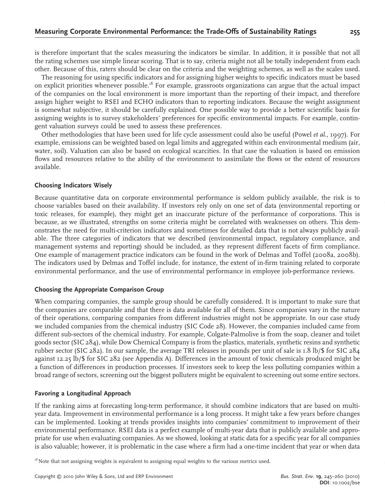is therefore important that the scales measuring the indicators be similar. In addition, it is possible that not all the rating schemes use simple linear scoring. That is to say, criteria might not all be totally independent from each other. Because of this, raters should be clear on the criteria and the weighting schemes, as well as the scales used.

The reasoning for using specific indicators and for assigning higher weights to specific indicators must be based on explicit priorities whenever possible.<sup>18</sup> For example, grassroots organizations can argue that the actual impact of the companies on the local environment is more important than the reporting of their impact, and therefore assign higher weight to RSEI and ECHO indicators than to reporting indicators. Because the weight assignment is somewhat subjective, it should be carefully explained. One possible way to provide a better scientific basis for assigning weights is to survey stakeholders' preferences for specific environmental impacts. For example, contingent valuation surveys could be used to assess these preferences.

Other methodologies that have been used for life cycle assessment could also be useful (Powel *et al*., 1997). For example, emissions can be weighted based on legal limits and aggregated within each environmental medium (air, water, soil). Valuation can also be based on ecological scarcities. In that case the valuation is based on emission flows and resources relative to the ability of the environment to assimilate the flows or the extent of resources available.

### **Choosing Indicators Wisely**

Because quantitative data on corporate environmental performance is seldom publicly available, the risk is to choose variables based on their availability. If investors rely only on one set of data (environmental reporting or toxic releases, for example), they might get an inaccurate picture of the performance of corporations. This is because, as we illustrated, strengths on some criteria might be correlated with weaknesses on others. This demonstrates the need for multi-criterion indicators and sometimes for detailed data that is not always publicly available. The three categories of indicators that we described (environmental impact, regulatory compliance, and management systems and reporting) should be included, as they represent different facets of firm compliance. One example of management practice indicators can be found in the work of Delmas and Toffel (2008a, 2008b). The indicators used by Delmas and Toffel include, for instance, the extent of in-firm training related to corporate environmental performance, and the use of environmental performance in employee job-performance reviews.

#### **Choosing the Appropriate Comparison Group**

When comparing companies, the sample group should be carefully considered. It is important to make sure that the companies are comparable and that there is data available for all of them. Since companies vary in the nature of their operations, comparing companies from different industries might not be appropriate. In our case study we included companies from the chemical industry (SIC Code 28). However, the companies included came from different sub-sectors of the chemical industry. For example, Colgate-Palmolive is from the soap, cleaner and toilet goods sector (SIC 284), while Dow Chemical Company is from the plastics, materials, synthetic resins and synthetic rubber sector (SIC 282). In our sample, the average TRI releases in pounds per unit of sale is 1.8 lb/\$ for SIC 284 against 12.25 lb/\$ for SIC 282 (see Appendix A). Differences in the amount of toxic chemicals produced might be a function of differences in production processes. If investors seek to keep the less polluting companies within a broad range of sectors, screening out the biggest polluters might be equivalent to screening out some entire sectors.

### **Favoring a Longitudinal Approach**

If the ranking aims at forecasting long-term performance, it should combine indicators that are based on multiyear data. Improvement in environmental performance is a long process. It might take a few years before changes can be implemented. Looking at trends provides insights into companies' commitment to improvement of their environmental performance. RSEI data is a perfect example of multi-year data that is publicly available and appropriate for use when evaluating companies. As we showed, looking at static data for a specific year for all companies is also valuable; however, it is problematic in the case where a firm had a one-time incident that year or when data

<sup>18</sup> Note that not assigning weights is equivalent to assigning equal weights to the various metrics used.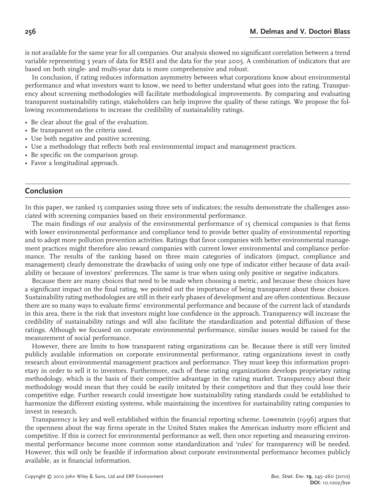is not available for the same year for all companies. Our analysis showed no significant correlation between a trend variable representing 5 years of data for RSEI and the data for the year 2005. A combination of indicators that are based on both single- and multi-year data is more comprehensive and robust.

In conclusion, if rating reduces information asymmetry between what corporations know about environmental performance and what investors want to know, we need to better understand what goes into the rating. Transparency about screening methodologies will facilitate methodological improvements. By comparing and evaluating transparent sustainability ratings, stakeholders can help improve the quality of these ratings. We propose the following recommendations to increase the credibility of sustainability ratings.

- Be clear about the goal of the evaluation.
- Be transparent on the criteria used.
- Use both negative and positive screening.
- Use a methodology that reflects both real environmental impact and management practices.
- Be specific on the comparison group.
- Favor a longitudinal approach.

## **Conclusion**

In this paper, we ranked 15 companies using three sets of indicators; the results demonstrate the challenges associated with screening companies based on their environmental performance.

The main findings of our analysis of the environmental performance of 15 chemical companies is that firms with lower environmental performance and compliance tend to provide better quality of environmental reporting and to adopt more pollution prevention activities. Ratings that favor companies with better environmental management practices might therefore also reward companies with current lower environmental and compliance performance. The results of the ranking based on three main categories of indicators (impact, compliance and management) clearly demonstrate the drawbacks of using only one type of indicator either because of data availability or because of investors' preferences. The same is true when using only positive or negative indicators.

Because there are many choices that need to be made when choosing a metric, and because these choices have a significant impact on the final rating, we pointed out the importance of being transparent about these choices. Sustainability rating methodologies are still in their early phases of development and are often contentious. Because there are so many ways to evaluate firms' environmental performance and because of the current lack of standards in this area, there is the risk that investors might lose confidence in the approach. Transparency will increase the credibility of sustainability ratings and will also facilitate the standardization and potential diffusion of these ratings. Although we focused on corporate environmental performance, similar issues would be raised for the measurement of social performance.

However, there are limits to how transparent rating organizations can be. Because there is still very limited publicly available information on corporate environmental performance, rating organizations invest in costly research about environmental management practices and performance. They must keep this information proprietary in order to sell it to investors. Furthermore, each of these rating organizations develops proprietary rating methodology, which is the basis of their competitive advantage in the rating market. Transparency about their methodology would mean that they could be easily imitated by their competitors and that they could lose their competitive edge. Further research could investigate how sustainability rating standards could be established to harmonize the different existing systems, while maintaining the incentives for sustainability rating companies to invest in research.

Transparency is key and well established within the financial reporting scheme. Lowenstein (1996) argues that the openness about the way firms operate in the United States makes the American industry more efficient and competitive. If this is correct for environmental performance as well, then once reporting and measuring environmental performance become more common some standardization and 'rules' for transparency will be needed. However, this will only be feasible if information about corporate environmental performance becomes publicly available, as is financial information.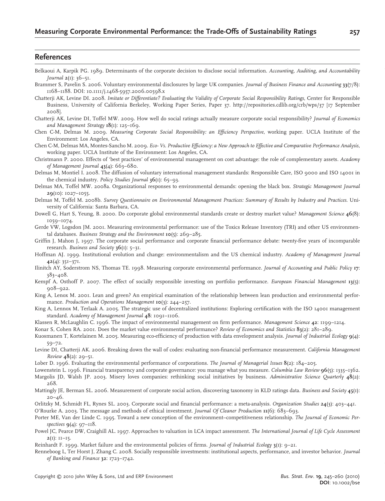#### **References**

- Belkaoui A, Karpik PG. 1989. Determinants of the corporate decision to disclose social information. *Accounting, Auditing, and Accountability Journal* **2**(1): 36–51.
- Brammer S, Pavelin S. 2006. Voluntary environmental disclosures by large UK companies. *Journal of Business Finance and Accounting* **33**(7/8): 1168–1188. DOI: 10.1111/j.1468-5957.2006.00598.x
- Chatterji AK, Levine DI. 2008. *Imitate or Differentiate? Evaluating the Validity of Corporate Social Responsibility Ratings*, Center for Responsible Business, University of California Berkeley, Working Paper Series, Paper 37. http://repositories.cdlib.org/crb/wps/37 [17 September 2008].
- Chatterji AK, Levine DI, Toffel MW. 2009. How well do social ratings actually measure corporate social responsibility? *Journal of Economics and Management Strategy* **18**(1): 125–169.
- Chen C-M, Delmas M. 2009. Measuring Corporate Social Responsibility: an Efficiency Perspective, working paper. UCLA Institute of the Environment: Los Angeles, CA.
- Chen C-M, Delmas MA, Montes-Sancho M. 2009. *Eco- Vs. Productive Efficiency: a New Approach to Effective and Comparative Performance Analysis*, working paper. UCLA Institute of the Environment: Los Angeles, CA.
- Christmann P. 2000. Effects of 'best practices' of environmental management on cost advantage: the role of complementary assets. *Academy of Management Journal* **43**(4): 663–680.
- Delmas M, Montiel I. 2008. The diffusion of voluntary international management standards: Responsible Care, ISO 9000 and ISO 14001 in the chemical industry. *Policy Studies Journal* **36**(1): 65–93.
- Delmas MA, Toffel MW. 2008a. Organizational responses to environmental demands: opening the black box. *Strategic Management Journal* **29**(10): 1027–1055.
- Delmas M, Toffel M. 2008b. *Survey Questionnaire on Environmental Management Practices: Summary of Results by Industry and Practices*. University of California: Santa Barbara, CA.
- Dowell G, Hart S, Yeung, B. 2000. Do corporate global environmental standards create or destroy market value? *Management Science* **46**(8): 1059–1074.
- Gerde VW, Logsdon JM. 2001. Measuring environmental performance: use of the Toxics Release Inventory (TRI) and other US environmental databases. *Business Strategy and the Environment* **10**(5): 269–285.
- Griffin J, Mahon J, 1997. The corporate social performance and corporate financial performance debate: twenty-five years of incomparable research. *Business and Society* **36**(1): 5–31.
- Hoffman AJ. 1999. Institutional evolution and change: environmentalism and the US chemical industry. *Academy of Management Journal* **42**(4): 351–371.
- Ilinitch AY, Soderstrom NS, Thomas TE. 1998. Measuring corporate environmental performance. *Journal of Accounting and Public Policy* **17**: 383–408.
- Kempf A, Osthoff P. 2007. The effect of socially responsible investing on portfolio performance. *European Financial Management* **13**(5): 908–922.
- King A, Lenox M. 2001. Lean and green? An empirical examination of the relationship between lean production and environmental performance. *Production and Operations Management* **10**(3): 244–257.
- King A, Lennox M, Terlaak A. 2005. The strategic use of decentralized institutions: Exploring certification with the ISO 14001 management standard. *Academy of Management Journal* **48**: 1091–1106.
- Klassen R, McLaughlin C. 1996. The impact of environmental management on firm performance. *Management Science* 42: 1199–1214.

Konar S, Cohen RA. 2001. Does the market value environmental performance? *Review of Economics and Statistics* **83**(2): 281–289.

- Kuosmanen T, Kortelainen M. 2005. Measuring eco-efficiency of production with data envelopment analysis. *Journal of Industrial Ecology* 9(4): 59–72.
- Levine DI, Chatterji AK. 2006. Breaking down the wall of codes: evaluating non-financial performance measurement. California Management *Review* **48**(2): 29–51.
- Lober D. 1996. Evaluating the environmental performance of corporations. *The Journal of Managerial Issues* **8**(2): 184–205.
- Lowenstein L. 1996. Financial transparency and corporate governance: you manage what you measure. *Columbia Law Review* **96**(5): 1335–1362. Margolis JD, Walsh JP. 2003. Misery loves companies: rethinking social initiatives by business. *Administrative Science Quarterly* **48**(2):
- 268.
- Mattingly JE, Berman SL. 2006. Measurement of corporate social action, discovering taxonomy in KLD ratings data. *Business and Society* **45**(1):  $20 - 46$ .
- Orlitzky M, Schmidt FL, Rynes SL. 2003. Corporate social and financial performance: a meta-analysis. *Organization Studies* 24(3): 403-441.
- O'Rourke A. 2003. The message and methods of ethical investment. *Journal Of Cleaner Production* **11**(6): 683–693.
- Porter ME, Van der Linde C. 1995. Toward a new conception of the environment–competitiveness relationship. *The Journal of Economic Perspectives* **9**(4): 97–118.
- Powel JC, Pearce DW, Craighill AL. 1997. Approaches to valuation in LCA impact assessment. *The International Journal of Life Cycle Assessment* **2**(1): 11–15.
- Reinhardt F. 1999. Market failure and the environmental policies of firms. *Journal of Industrial Ecology*  $\mathbf{3}(1)$ : 9–21.
- Renneboog L, Ter Horst J, Zhang C. 2008. Socially responsible investments: institutional aspects, performance, and investor behavior. *Journal of Banking and Finance* **32**: 1723–1742.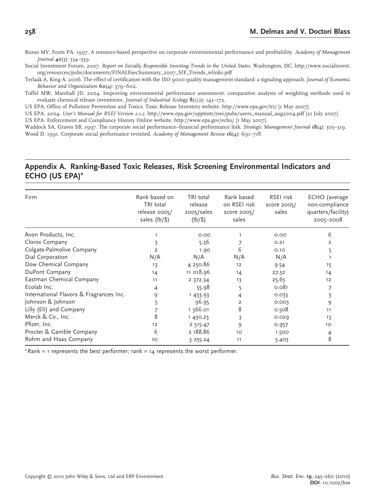Russo MV, Fouts PA. 1997. A resource-based perspective on corporate environmental performance and profitability. *Academy of Management Journal* **40**(3): 534–559.

Social Investment Forum. 2007. *Report on Socially Responsible Investing Trends in the United States*. Washington, DC. http://www.socialinvest. org/resources/pubs/documents/FINALExecSummary\_2007\_SIF\_Trends\_wlinks.pdf

Terlaak A, King A. 2006. The effect of certification with the ISO 9000 quality management standard: a signaling approach. *Journal of Economic Behavior and Organization* **60**(4): 579–602.

Toffel MW, Marshall JD. 2004. Improving environmental performance assessment: comparative analysis of weighting methods used to evaluate chemical release inventories. *Journal of Industrial Ecology* **8**(1/2): 143–172.

US EPA, Office of Pollution Prevention and Toxics. Toxic Release Inventory website. http://www.epa.gov/tri/ [1 May 2007].

US EPA. 2004. *User's Manual for RSEI Version 2.1.2*. http://www.epa.gov/opptintr/rsei/pubs/users\_manual\_aug2004.pdf [21 July 2007].

US EPA. Enforcement and Compliance History Online website. http://www.epa.gov/echo/ [1 May 2007].

Waddock SA, Graves SB. 1997. The corporate social performance–financial performance link. *Strategic Management Journal* 18(4): 303–319. Wood D. 1991. Corporate social performance revisited. *Academy of Management Review* **16**(4): 691–718.

## **Appendix A. Ranking-Based Toxic Releases, Risk Screening Environmental Indicators and ECHO (US EPA)<sup>a</sup>**

| Firm                                    | Rank based on<br>TRI total<br>release 2005/<br>sales (lb/\$) | TRI total<br>release<br>2005/sales<br>$(lb/\$)$ | Rank based<br>on RSEI risk<br>score $2005/$<br>sales | RSEI risk<br>score 2005/<br>sales | ECHO (average<br>non-compliance<br>quarters/facility)<br>2005-2008 |
|-----------------------------------------|--------------------------------------------------------------|-------------------------------------------------|------------------------------------------------------|-----------------------------------|--------------------------------------------------------------------|
| Avon Products, Inc.                     |                                                              | 0.00                                            |                                                      | 0.00                              | 6                                                                  |
| Clorox Company                          |                                                              | 5.36                                            |                                                      | O.21                              | $\overline{2}$                                                     |
| Colgate-Palmolive Company               |                                                              | 1.90                                            | 6                                                    | 0.10                              |                                                                    |
| Dial Corporation                        | N/A                                                          | N/A                                             | N/A                                                  | N/A                               |                                                                    |
| Dow Chemical Company                    | 13                                                           | 4 250.86                                        | 12                                                   | 9.54                              | 15                                                                 |
| DuPont Company                          | 14                                                           | 11 018.96                                       | 14                                                   | 27.52                             | 14                                                                 |
| Eastman Chemical Company                | 11                                                           | 2 372.34                                        | 13                                                   | 25.65                             | 12                                                                 |
| Ecolab Inc.                             | 4                                                            | 55.98                                           |                                                      | 0.081                             |                                                                    |
| International Flavors & Fragrances Inc. | 9                                                            | 1 433.93                                        | 4                                                    | 0.033                             | 3                                                                  |
| Johnson & Johnson                       |                                                              | 96.95                                           | 2                                                    | 0.003                             | 9                                                                  |
| Lilly (Eli) and Company                 |                                                              | 1 366.01                                        | 8                                                    | 0.508                             | 11                                                                 |
| Merck & Co., Inc.                       | 8                                                            | 1 430.23                                        |                                                      | 0.029                             | 13                                                                 |
| Pfizer, Inc.                            | 12                                                           | 2 515.47                                        | 9                                                    | 0.957                             | 10                                                                 |
| Procter & Gamble Company                | 6                                                            | 2 188.86                                        | 10                                                   | 1.500                             | 4                                                                  |
| Rohm and Haas Company                   | 10                                                           | 3 255.24                                        | 11                                                   | 5.403                             | 8                                                                  |

 $^{\circ}$ Rank = 1 represents the best performer; rank = 14 represents the worst performer.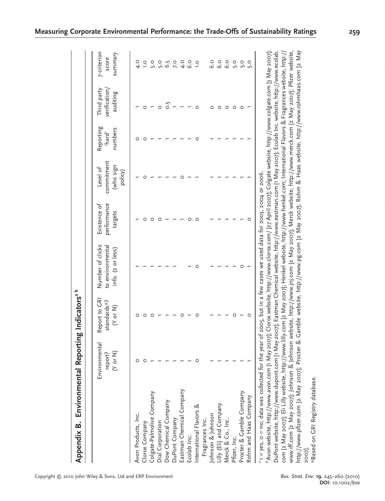| Appendix B. Environmental Reporting Indicators <sup>a b</sup>                                                                                                                                                                                                                                                                                                                                                                                                                                                                                                                                                                                                                                                                                                                                                                                                       |                                                 |                                                  |                                                                                                                     |                                        |                                                |                                |                                          |                                 |
|---------------------------------------------------------------------------------------------------------------------------------------------------------------------------------------------------------------------------------------------------------------------------------------------------------------------------------------------------------------------------------------------------------------------------------------------------------------------------------------------------------------------------------------------------------------------------------------------------------------------------------------------------------------------------------------------------------------------------------------------------------------------------------------------------------------------------------------------------------------------|-------------------------------------------------|--------------------------------------------------|---------------------------------------------------------------------------------------------------------------------|----------------------------------------|------------------------------------------------|--------------------------------|------------------------------------------|---------------------------------|
|                                                                                                                                                                                                                                                                                                                                                                                                                                                                                                                                                                                                                                                                                                                                                                                                                                                                     | Environmental<br>report?<br>$(Y \text{ or } N)$ | Report to GRI<br>standards*?<br>$(Y \n or \n N)$ | Number of clicks<br>to environmental<br>info. (2 or less)                                                           | performance<br>Existence of<br>targets | commitment<br>ugis oym)<br>Level of<br>policy) | Reporting<br>numbers<br>'hard' | Third party<br>verification,<br>auditing | 7-criterion<br>summary<br>score |
| Avon Products, Inc.                                                                                                                                                                                                                                                                                                                                                                                                                                                                                                                                                                                                                                                                                                                                                                                                                                                 |                                                 |                                                  |                                                                                                                     |                                        |                                                | 0                              |                                          | ە<br>+                          |
| Clorox Company                                                                                                                                                                                                                                                                                                                                                                                                                                                                                                                                                                                                                                                                                                                                                                                                                                                      |                                                 | O                                                |                                                                                                                     | С                                      |                                                | O                              | O                                        | $\ddot{0}$                      |
| Colgate-Palmolive Company                                                                                                                                                                                                                                                                                                                                                                                                                                                                                                                                                                                                                                                                                                                                                                                                                                           |                                                 | O                                                |                                                                                                                     | O                                      |                                                |                                |                                          | 5.0                             |
| Dial Corporation                                                                                                                                                                                                                                                                                                                                                                                                                                                                                                                                                                                                                                                                                                                                                                                                                                                    |                                                 |                                                  |                                                                                                                     | O                                      |                                                |                                | O                                        | 5.0                             |
| Dow Chemical Company                                                                                                                                                                                                                                                                                                                                                                                                                                                                                                                                                                                                                                                                                                                                                                                                                                                |                                                 |                                                  |                                                                                                                     |                                        |                                                |                                | $\overline{6}$                           | 6.5                             |
| DuPont Company                                                                                                                                                                                                                                                                                                                                                                                                                                                                                                                                                                                                                                                                                                                                                                                                                                                      |                                                 |                                                  |                                                                                                                     |                                        |                                                |                                |                                          | 7.0                             |
| Eastman Chemical Company                                                                                                                                                                                                                                                                                                                                                                                                                                                                                                                                                                                                                                                                                                                                                                                                                                            |                                                 | O                                                |                                                                                                                     |                                        |                                                |                                |                                          |                                 |
| Ecolab Inc.                                                                                                                                                                                                                                                                                                                                                                                                                                                                                                                                                                                                                                                                                                                                                                                                                                                         |                                                 |                                                  |                                                                                                                     | O                                      |                                                |                                |                                          | $rac{6}{4}$                     |
| International Flavors &                                                                                                                                                                                                                                                                                                                                                                                                                                                                                                                                                                                                                                                                                                                                                                                                                                             |                                                 | с                                                | с                                                                                                                   | O                                      |                                                |                                | $\circ$                                  | $\overline{C}$                  |
| Fragrances Inc.                                                                                                                                                                                                                                                                                                                                                                                                                                                                                                                                                                                                                                                                                                                                                                                                                                                     |                                                 |                                                  |                                                                                                                     |                                        |                                                |                                |                                          |                                 |
| Johnson & Johnson                                                                                                                                                                                                                                                                                                                                                                                                                                                                                                                                                                                                                                                                                                                                                                                                                                                   |                                                 |                                                  |                                                                                                                     |                                        |                                                |                                | O                                        | 6.0                             |
|                                                                                                                                                                                                                                                                                                                                                                                                                                                                                                                                                                                                                                                                                                                                                                                                                                                                     |                                                 |                                                  |                                                                                                                     |                                        |                                                |                                | $\circ$                                  | $\ddot{\circ}$                  |
| Lilly (Eli) and Company<br>Merck & Co., Inc.                                                                                                                                                                                                                                                                                                                                                                                                                                                                                                                                                                                                                                                                                                                                                                                                                        |                                                 |                                                  |                                                                                                                     |                                        |                                                |                                | $\circ$                                  | 6.0                             |
| Pfizer, Inc.                                                                                                                                                                                                                                                                                                                                                                                                                                                                                                                                                                                                                                                                                                                                                                                                                                                        |                                                 | $\circ$                                          |                                                                                                                     |                                        |                                                |                                | O                                        | 5.0                             |
| Procter & Gamble Company                                                                                                                                                                                                                                                                                                                                                                                                                                                                                                                                                                                                                                                                                                                                                                                                                                            |                                                 |                                                  | O                                                                                                                   |                                        |                                                |                                | $\circ$                                  | 5.0                             |
| Rohm and Haas Company                                                                                                                                                                                                                                                                                                                                                                                                                                                                                                                                                                                                                                                                                                                                                                                                                                               |                                                 | O                                                |                                                                                                                     | $\circ$                                |                                                |                                |                                          | 5.0                             |
| http://www.pfizer.com [2 May 2007]; Procter & Gamble website, http://www.pg.com [2 May 2007]; Rohm & Haas website, http://www.rohmhaas.com [2 May<br>www.iff.com [2 May 2007]; Johnson & Johnson website, http://www.jnj.com [2 May 2007]; Merck website, http://www.merck.com [2 May 2007]; Pfizer website,<br>DuPont website, http://www.dupont.com [1 May 2007]; Eastman Chemical website, http://www.eastman.com [1 May 2007]; Ecolab Inc. website, http://www.ecolab<br>com [2 May 2007]; Eli Lilly website, http://www.lilly.com [2 May 2007]; Henkel website, http://www.henkel.com; International Flavors & Fragrances website, http:/<br>$a_1 = yes$ , $o = no$ ; data was collected for the year of 2005, but in a few cases we used data for 2003, 2004 or 2006.<br>Avon website, http://www.avon.com [1 May<br>*Based on GRI Registry database.<br>2007 |                                                 |                                                  | 2007]; Clorox website, http://www.clorox.com/ [27 April 2007]; Colgate website, http://www.colgate.com [3 May 2007] |                                        |                                                |                                |                                          |                                 |